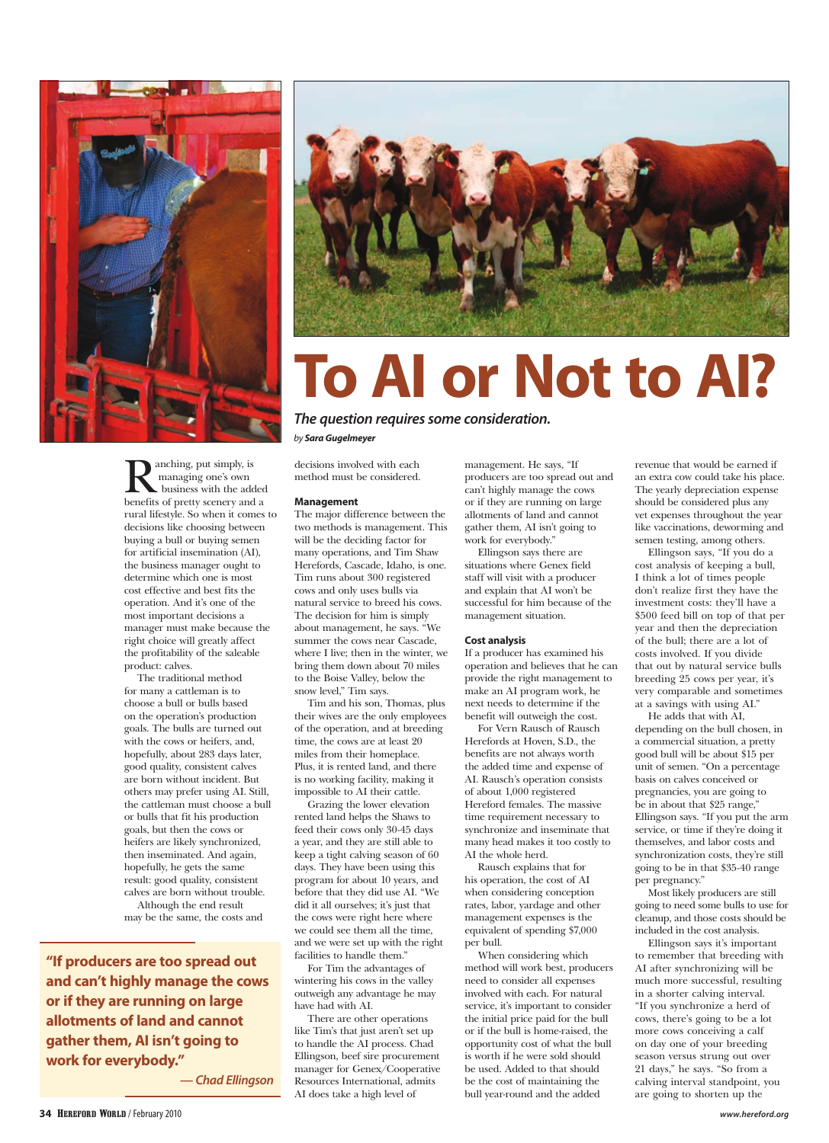

## **To AI or Not to AI?**

*The question requires some consideration. by Sara Gugelmeyer*

anching, put simply, is managing one's own business with the added benefits of pretty scenery and a rural lifestyle. So when it comes to decisions like choosing between buying a bull or buying semen for artificial insemination (AI), the business manager ought to determine which one is most cost effective and best fits the operation. And it's one of the most important decisions a manager must make because the right choice will greatly affect the profitability of the saleable product: calves.

The traditional method for many a cattleman is to choose a bull or bulls based on the operation's production goals. The bulls are turned out with the cows or heifers, and, hopefully, about 283 days later, good quality, consistent calves are born without incident. But others may prefer using AI. Still, the cattleman must choose a bull or bulls that fit his production goals, but then the cows or heifers are likely synchronized, then inseminated. And again, hopefully, he gets the same result: good quality, consistent calves are born without trouble. Although the end result may be the same, the costs and

**"If producers are too spread out and can't highly manage the cows or if they are running on large allotments of land and cannot gather them, AI isn't going to work for everybody."**

*— Chad Ellingson*

decisions involved with each method must be considered.

## **Management**

The major difference between the two methods is management. This will be the deciding factor for many operations, and Tim Shaw Herefords, Cascade, Idaho, is one. Tim runs about 300 registered cows and only uses bulls via natural service to breed his cows. The decision for him is simply about management, he says. "We summer the cows near Cascade, where I live; then in the winter, we bring them down about 70 miles to the Boise Valley, below the snow level," Tim says.

Tim and his son, Thomas, plus their wives are the only employees of the operation, and at breeding time, the cows are at least 20 miles from their homeplace. Plus, it is rented land, and there is no working facility, making it impossible to AI their cattle.

Grazing the lower elevation rented land helps the Shaws to feed their cows only 30-45 days a year, and they are still able to keep a tight calving season of 60 days. They have been using this program for about 10 years, and before that they did use AI. "We did it all ourselves; it's just that the cows were right here where we could see them all the time, and we were set up with the right facilities to handle them."

For Tim the advantages of wintering his cows in the valley outweigh any advantage he may have had with AI.

There are other operations like Tim's that just aren't set up to handle the AI process. Chad Ellingson, beef sire procurement manager for Genex/Cooperative Resources International, admits AI does take a high level of

management. He says, "If producers are too spread out and can't highly manage the cows or if they are running on large allotments of land and cannot gather them, AI isn't going to work for everybody."

Ellingson says there are situations where Genex field staff will visit with a producer and explain that AI won't be successful for him because of the management situation.

## **Cost analysis**

If a producer has examined his operation and believes that he can provide the right management to make an AI program work, he next needs to determine if the benefit will outweigh the cost.

For Vern Rausch of Rausch Herefords at Hoven, S.D., the benefits are not always worth the added time and expense of AI. Rausch's operation consists of about 1,000 registered Hereford females. The massive time requirement necessary to synchronize and inseminate that many head makes it too costly to AI the whole herd.

Rausch explains that for his operation, the cost of AI when considering conception rates, labor, yardage and other management expenses is the equivalent of spending \$7,000 per bull.

When considering which method will work best, producers need to consider all expenses involved with each. For natural service, it's important to consider the initial price paid for the bull or if the bull is home-raised, the opportunity cost of what the bull is worth if he were sold should be used. Added to that should be the cost of maintaining the bull year-round and the added

revenue that would be earned if an extra cow could take his place. The yearly depreciation expense should be considered plus any vet expenses throughout the year like vaccinations, deworming and semen testing, among others.

Ellingson says, "If you do a cost analysis of keeping a bull, I think a lot of times people don't realize first they have the investment costs: they'll have a \$500 feed bill on top of that per year and then the depreciation of the bull; there are a lot of costs involved. If you divide that out by natural service bulls breeding 25 cows per year, it's very comparable and sometimes at a savings with using AI."

He adds that with AI, depending on the bull chosen, in a commercial situation, a pretty good bull will be about \$15 per unit of semen. "On a percentage basis on calves conceived or pregnancies, you are going to be in about that \$25 range," Ellingson says. "If you put the arm service, or time if they're doing it themselves, and labor costs and synchronization costs, they're still going to be in that \$35-40 range per pregnancy."

Most likely producers are still going to need some bulls to use for cleanup, and those costs should be included in the cost analysis.

Ellingson says it's important to remember that breeding with AI after synchronizing will be much more successful, resulting in a shorter calving interval. "If you synchronize a herd of cows, there's going to be a lot more cows conceiving a calf on day one of your breeding season versus strung out over 21 days," he says. "So from a calving interval standpoint, you are going to shorten up the